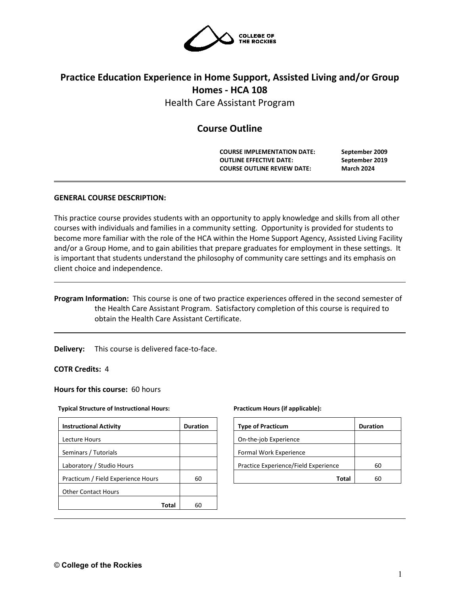

# **Practice Education Experience in Home Support, Assisted Living and/or Group Homes - HCA 108**

Health Care Assistant Program

# **Course Outline**

**COURSE IMPLEMENTATION DATE: September 2009 OUTLINE EFFECTIVE DATE: September 2019 COURSE OUTLINE REVIEW DATE: March 2024**

# **GENERAL COURSE DESCRIPTION:**

This practice course provides students with an opportunity to apply knowledge and skills from all other courses with individuals and families in a community setting. Opportunity is provided for students to become more familiar with the role of the HCA within the Home Support Agency, Assisted Living Facility and/or a Group Home, and to gain abilities that prepare graduates for employment in these settings. It is important that students understand the philosophy of community care settings and its emphasis on client choice and independence.

# **Program Information:** This course is one of two practice experiences offered in the second semester of the Health Care Assistant Program. Satisfactory completion of this course is required to obtain the Health Care Assistant Certificate.

**Delivery:** This course is delivered face-to-face.

# **COTR Credits:** 4

#### **Hours for this course:** 60 hours

#### **Typical Structure of Instructional Hours:**

| <b>Instructional Activity</b>      | <b>Duration</b> |
|------------------------------------|-----------------|
| Lecture Hours                      |                 |
| Seminars / Tutorials               |                 |
| Laboratory / Studio Hours          |                 |
| Practicum / Field Experience Hours | 60              |
| <b>Other Contact Hours</b>         |                 |
| Total                              |                 |

#### **Practicum Hours (if applicable):**

| <b>Type of Practicum</b>             | <b>Duration</b> |
|--------------------------------------|-----------------|
| On-the-job Experience                |                 |
| Formal Work Experience               |                 |
| Practice Experience/Field Experience | 60              |
| Total                                | 60              |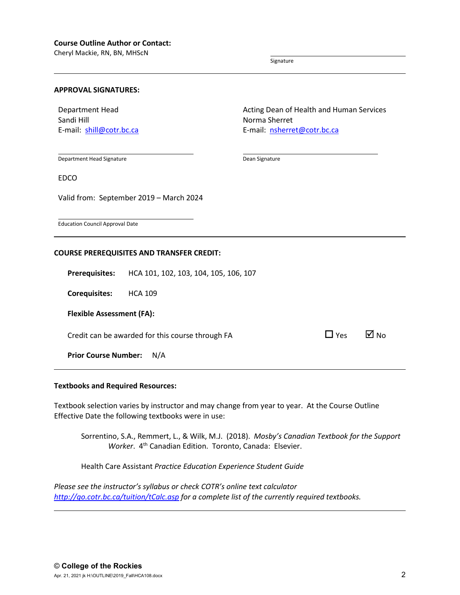Cheryl Mackie, RN, BN, MHScN

Signature

#### **APPROVAL SIGNATURES:**

Department Head Sandi Hill E-mail: [shill@cotr.bc.ca](mailto:shill@cotr.bc.ca)

Department Head Signature

EDCO

Valid from: September 2019 – March 2024

Education Council Approval Date

#### **COURSE PREREQUISITES AND TRANSFER CREDIT:**

**Prerequisites:** HCA 101, 102, 103, 104, 105, 106, 107

**Corequisites:** HCA 109

**Flexible Assessment (FA):**

Credit can be awarded for this course through FA  $\Box$  Yes  $\Box$  No

**Prior Course Number:** N/A

#### **Textbooks and Required Resources:**

Textbook selection varies by instructor and may change from year to year. At the Course Outline Effective Date the following textbooks were in use:

Sorrentino, S.A., Remmert, L., & Wilk, M.J. (2018). *Mosby's Canadian Textbook for the Support Worker.* 4<sup>th</sup> Canadian Edition. Toronto, Canada: Elsevier.

Health Care Assistant *Practice Education Experience Student Guide*

*Please see the instructor's syllabus or check COTR's online text calculator <http://go.cotr.bc.ca/tuition/tCalc.asp> for a complete list of the currently required textbooks.*

Acting Dean of Health and Human Services Norma Sherret E-mail: [nsherret@cotr.bc.ca](mailto:nsherret@cotr.bc.ca)

Dean Signature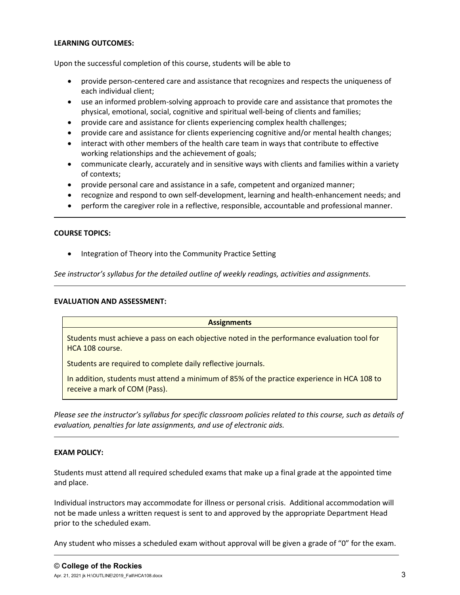# **LEARNING OUTCOMES:**

Upon the successful completion of this course, students will be able to

- provide person-centered care and assistance that recognizes and respects the uniqueness of each individual client;
- use an informed problem-solving approach to provide care and assistance that promotes the physical, emotional, social, cognitive and spiritual well-being of clients and families;
- provide care and assistance for clients experiencing complex health challenges;
- provide care and assistance for clients experiencing cognitive and/or mental health changes;
- interact with other members of the health care team in ways that contribute to effective working relationships and the achievement of goals;
- communicate clearly, accurately and in sensitive ways with clients and families within a variety of contexts;
- provide personal care and assistance in a safe, competent and organized manner;
- recognize and respond to own self-development, learning and health-enhancement needs; and
- perform the caregiver role in a reflective, responsible, accountable and professional manner.

# **COURSE TOPICS:**

• Integration of Theory into the Community Practice Setting

*See instructor's syllabus for the detailed outline of weekly readings, activities and assignments.* 

#### **EVALUATION AND ASSESSMENT:**

#### **Assignments**

Students must achieve a pass on each objective noted in the performance evaluation tool for HCA 108 course.

Students are required to complete daily reflective journals.

In addition, students must attend a minimum of 85% of the practice experience in HCA 108 to receive a mark of COM (Pass).

*Please see the instructor's syllabus for specific classroom policies related to this course, such as details of evaluation, penalties for late assignments, and use of electronic aids.*

#### **EXAM POLICY:**

Students must attend all required scheduled exams that make up a final grade at the appointed time and place.

Individual instructors may accommodate for illness or personal crisis. Additional accommodation will not be made unless a written request is sent to and approved by the appropriate Department Head prior to the scheduled exam.

Any student who misses a scheduled exam without approval will be given a grade of "0" for the exam.